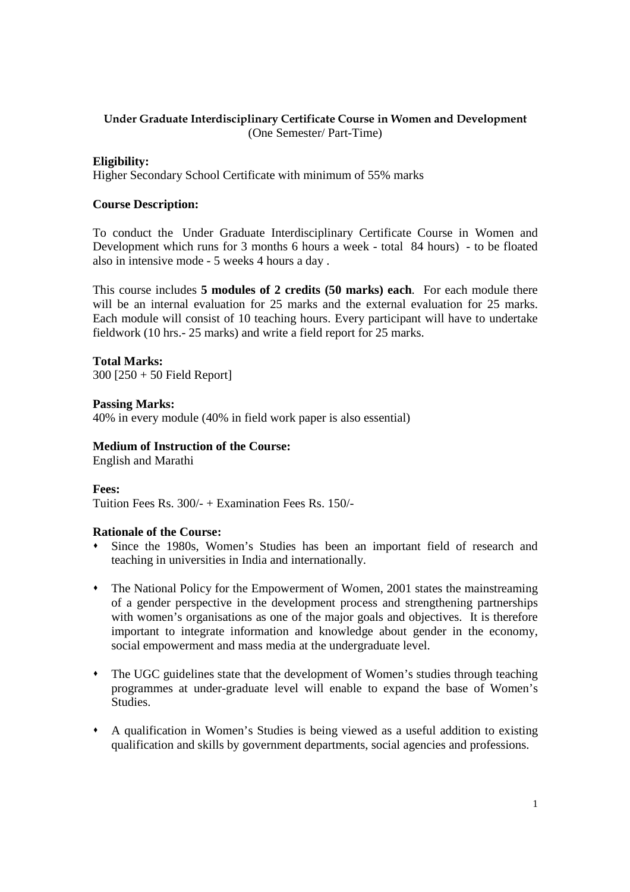# **Under Graduate Interdisciplinary Certificate Course in Women and Development**  (One Semester/ Part-Time)

### **Eligibility:**

Higher Secondary School Certificate with minimum of 55% marks

#### **Course Description:**

To conduct the Under Graduate Interdisciplinary Certificate Course in Women and Development which runs for 3 months 6 hours a week - total 84 hours) - to be floated also in intensive mode - 5 weeks 4 hours a day .

This course includes **5 modules of 2 credits (50 marks) each**. For each module there will be an internal evaluation for 25 marks and the external evaluation for 25 marks. Each module will consist of 10 teaching hours. Every participant will have to undertake fieldwork (10 hrs.- 25 marks) and write a field report for 25 marks.

**Total Marks:** 

300 [250 + 50 Field Report]

**Passing Marks:** 40% in every module (40% in field work paper is also essential)

### **Medium of Instruction of the Course:**

English and Marathi

**Fees:**  Tuition Fees Rs. 300/- + Examination Fees Rs. 150/-

#### **Rationale of the Course:**

- Since the 1980s, Women's Studies has been an important field of research and teaching in universities in India and internationally.
- The National Policy for the Empowerment of Women, 2001 states the mainstreaming of a gender perspective in the development process and strengthening partnerships with women's organisations as one of the major goals and objectives. It is therefore important to integrate information and knowledge about gender in the economy, social empowerment and mass media at the undergraduate level.
- The UGC guidelines state that the development of Women's studies through teaching programmes at under-graduate level will enable to expand the base of Women's Studies.
- A qualification in Women's Studies is being viewed as a useful addition to existing qualification and skills by government departments, social agencies and professions.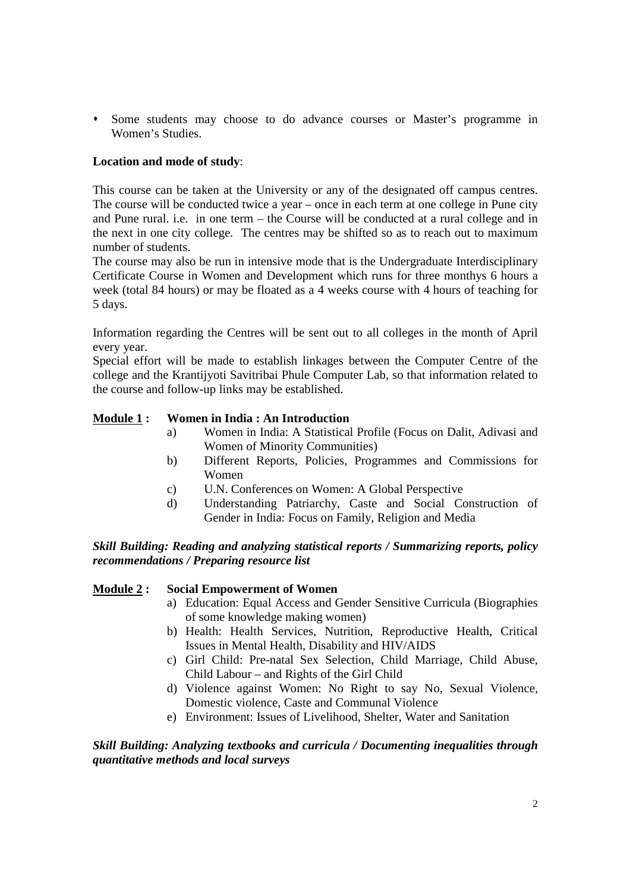Some students may choose to do advance courses or Master's programme in Women's Studies.

# **Location and mode of study**:

This course can be taken at the University or any of the designated off campus centres. The course will be conducted twice a year – once in each term at one college in Pune city and Pune rural. i.e. in one term – the Course will be conducted at a rural college and in the next in one city college. The centres may be shifted so as to reach out to maximum number of students.

The course may also be run in intensive mode that is the Undergraduate Interdisciplinary Certificate Course in Women and Development which runs for three monthys 6 hours a week (total 84 hours) or may be floated as a 4 weeks course with 4 hours of teaching for 5 days.

Information regarding the Centres will be sent out to all colleges in the month of April every year.

Special effort will be made to establish linkages between the Computer Centre of the college and the Krantijyoti Savitribai Phule Computer Lab, so that information related to the course and follow-up links may be established.

### **Module 1 : Women in India : An Introduction**

- a) Women in India: A Statistical Profile (Focus on Dalit, Adivasi and Women of Minority Communities)
- b) Different Reports, Policies, Programmes and Commissions for Women
- c) U.N. Conferences on Women: A Global Perspective
- d) Understanding Patriarchy, Caste and Social Construction of Gender in India: Focus on Family, Religion and Media

### *Skill Building: Reading and analyzing statistical reports / Summarizing reports, policy recommendations / Preparing resource list*

### **Module 2 : Social Empowerment of Women**

- a) Education: Equal Access and Gender Sensitive Curricula (Biographies of some knowledge making women)
- b) Health: Health Services, Nutrition, Reproductive Health, Critical Issues in Mental Health, Disability and HIV/AIDS
- c) Girl Child: Pre-natal Sex Selection, Child Marriage, Child Abuse, Child Labour – and Rights of the Girl Child
- d) Violence against Women: No Right to say No, Sexual Violence, Domestic violence, Caste and Communal Violence
- e) Environment: Issues of Livelihood, Shelter, Water and Sanitation

### *Skill Building: Analyzing textbooks and curricula / Documenting inequalities through quantitative methods and local surveys*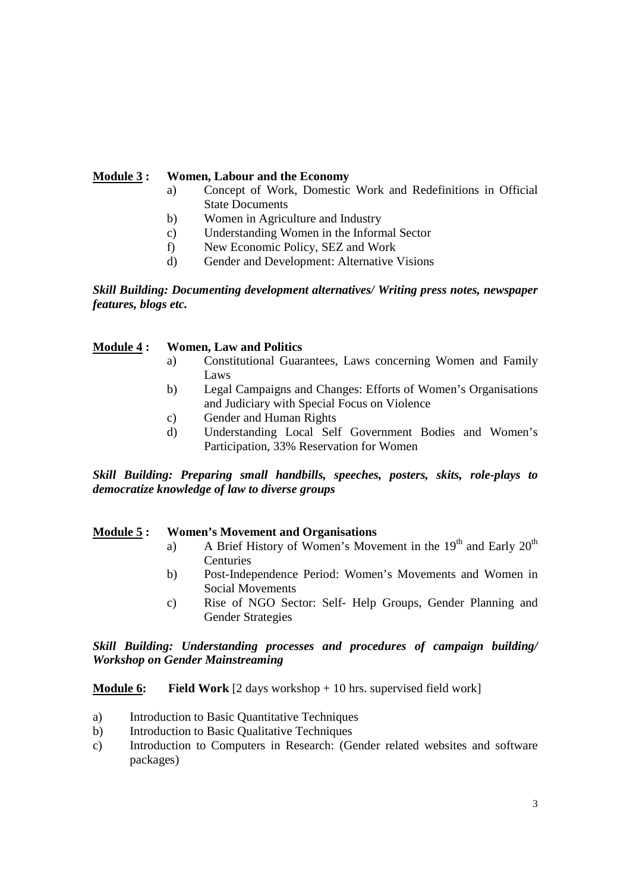### **Module 3 : Women, Labour and the Economy**

- a) Concept of Work, Domestic Work and Redefinitions in Official State Documents
- b) Women in Agriculture and Industry
- c) Understanding Women in the Informal Sector
- f) New Economic Policy, SEZ and Work
- d) Gender and Development: Alternative Visions

*Skill Building: Documenting development alternatives/ Writing press notes, newspaper features, blogs etc.* 

### **Module 4 : Women, Law and Politics**

- a) Constitutional Guarantees, Laws concerning Women and Family Laws
- b) Legal Campaigns and Changes: Efforts of Women's Organisations and Judiciary with Special Focus on Violence
- c) Gender and Human Rights
- d) Understanding Local Self Government Bodies and Women's Participation, 33% Reservation for Women

*Skill Building: Preparing small handbills, speeches, posters, skits, role-plays to democratize knowledge of law to diverse groups* 

### **Module 5 : Women's Movement and Organisations**

- a) A Brief History of Women's Movement in the  $19<sup>th</sup>$  and Early  $20<sup>th</sup>$ Centuries
- b) Post-Independence Period: Women's Movements and Women in Social Movements
- c) Rise of NGO Sector: Self- Help Groups, Gender Planning and Gender Strategies

### *Skill Building: Understanding processes and procedures of campaign building/ Workshop on Gender Mainstreaming*

**Module 6:** Field Work [2 days workshop + 10 hrs. supervised field work]

- a) Introduction to Basic Quantitative Techniques
- b) Introduction to Basic Qualitative Techniques
- c) Introduction to Computers in Research: (Gender related websites and software packages)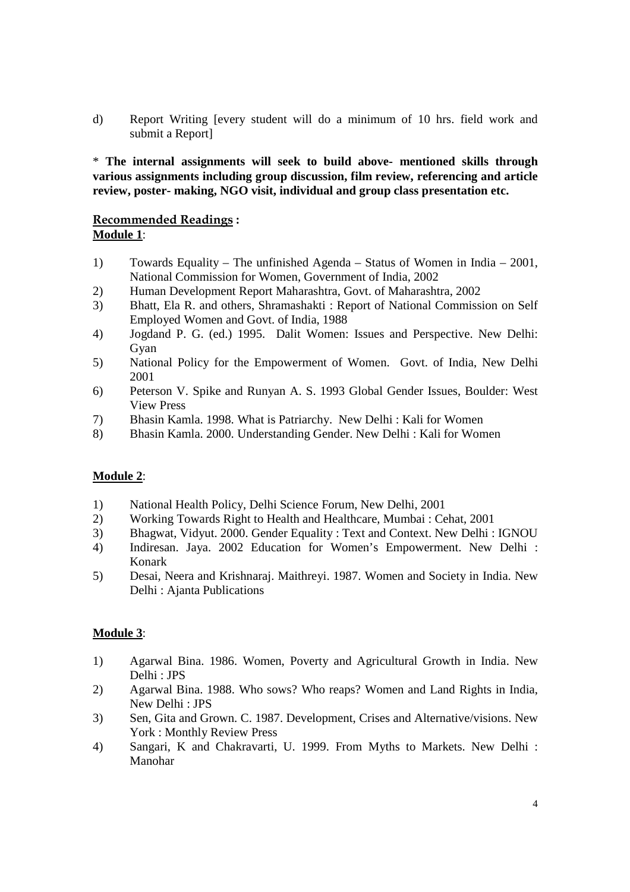d) Report Writing [every student will do a minimum of 10 hrs. field work and submit a Report]

\* **The internal assignments will seek to build above- mentioned skills through various assignments including group discussion, film review, referencing and article review, poster- making, NGO visit, individual and group class presentation etc.** 

### **Recommended Readings : Module 1**:

- 1) Towards Equality The unfinished Agenda Status of Women in India 2001, National Commission for Women, Government of India, 2002
- 2) Human Development Report Maharashtra, Govt. of Maharashtra, 2002
- 3) Bhatt, Ela R. and others, Shramashakti : Report of National Commission on Self Employed Women and Govt. of India, 1988
- 4) Jogdand P. G. (ed.) 1995. Dalit Women: Issues and Perspective. New Delhi: Gyan
- 5) National Policy for the Empowerment of Women. Govt. of India, New Delhi 2001
- 6) Peterson V. Spike and Runyan A. S. 1993 Global Gender Issues, Boulder: West View Press
- 7) Bhasin Kamla. 1998. What is Patriarchy. New Delhi : Kali for Women
- 8) Bhasin Kamla. 2000. Understanding Gender. New Delhi : Kali for Women

# **Module 2**:

- 1) National Health Policy, Delhi Science Forum, New Delhi, 2001
- 2) Working Towards Right to Health and Healthcare, Mumbai : Cehat, 2001
- 3) Bhagwat, Vidyut. 2000. Gender Equality : Text and Context. New Delhi : IGNOU
- 4) Indiresan. Jaya. 2002 Education for Women's Empowerment. New Delhi : Konark
- 5) Desai, Neera and Krishnaraj. Maithreyi. 1987. Women and Society in India. New Delhi : Ajanta Publications

# **Module 3**:

- 1) Agarwal Bina. 1986. Women, Poverty and Agricultural Growth in India. New Delhi : JPS
- 2) Agarwal Bina. 1988. Who sows? Who reaps? Women and Land Rights in India, New Delhi : JPS
- 3) Sen, Gita and Grown. C. 1987. Development, Crises and Alternative/visions. New York : Monthly Review Press
- 4) Sangari, K and Chakravarti, U. 1999. From Myths to Markets. New Delhi : Manohar